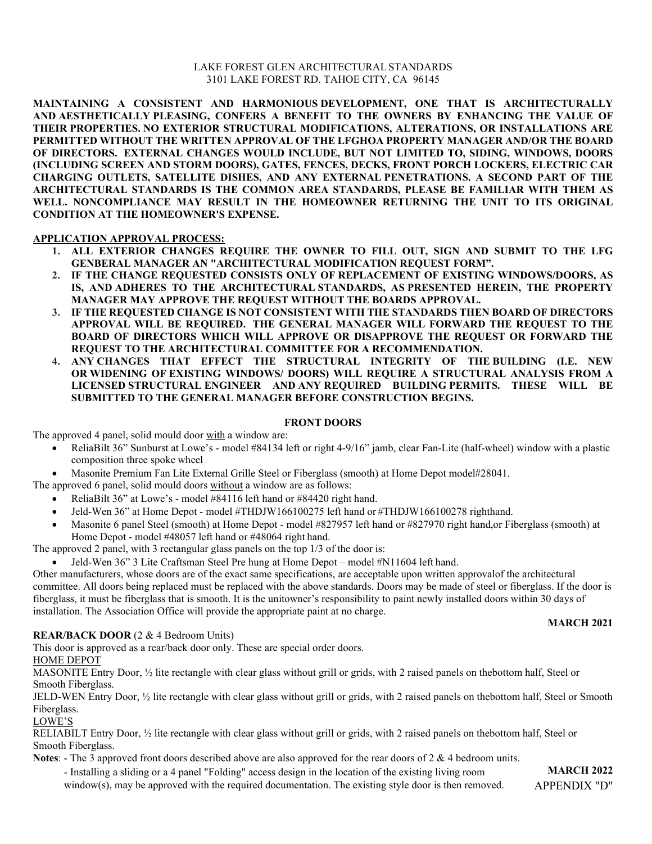### LAKE FOREST GLEN ARCHITECTURAL STANDARDS 3101 LAKE FOREST RD. TAHOE CITY, CA 96145

**MAINTAINING A CONSISTENT AND HARMONIOUS DEVELOPMENT, ONE THAT IS ARCHITECTURALLY AND AESTHETICALLY PLEASING, CONFERS A BENEFIT TO THE OWNERS BY ENHANCING THE VALUE OF THEIR PROPERTIES. NO EXTERIOR STRUCTURAL MODIFICATIONS, ALTERATIONS, OR INSTALLATIONS ARE PERMITTED WITHOUT THE WRITTEN APPROVAL OF THE LFGHOA PROPERTY MANAGER AND/OR THE BOARD OF DIRECTORS. EXTERNAL CHANGES WOULD INCLUDE, BUT NOT LIMITED TO, SIDING, WINDOWS, DOORS (INCLUDING SCREEN AND STORM DOORS), GATES, FENCES, DECKS, FRONT PORCH LOCKERS, ELECTRIC CAR CHARGING OUTLETS, SATELLITE DISHES, AND ANY EXTERNAL PENETRATIONS. A SECOND PART OF THE ARCHITECTURAL STANDARDS IS THE COMMON AREA STANDARDS, PLEASE BE FAMILIAR WITH THEM AS WELL. NONCOMPLIANCE MAY RESULT IN THE HOMEOWNER RETURNING THE UNIT TO ITS ORIGINAL CONDITION AT THE HOMEOWNER'S EXPENSE.** 

#### **APPLICATION APPROVAL PROCESS:**

- **1. ALL EXTERIOR CHANGES REQUIRE THE OWNER TO FILL OUT, SIGN AND SUBMIT TO THE LFG GENBERAL MANAGER AN "ARCHITECTURAL MODIFICATION REQUEST FORM".**
- **2. IF THE CHANGE REQUESTED CONSISTS ONLY OF REPLACEMENT OF EXISTING WINDOWS/DOORS, AS IS, AND ADHERES TO THE ARCHITECTURAL STANDARDS, AS PRESENTED HEREIN, THE PROPERTY MANAGER MAY APPROVE THE REQUEST WITHOUT THE BOARDS APPROVAL.**
- **3. IF THE REQUESTED CHANGE IS NOT CONSISTENT WITH THE STANDARDS THEN BOARD OF DIRECTORS APPROVAL WILL BE REQUIRED. THE GENERAL MANAGER WILL FORWARD THE REQUEST TO THE BOARD OF DIRECTORS WHICH WILL APPROVE OR DISAPPROVE THE REQUEST OR FORWARD THE REQUEST TO THE ARCHITECTURAL COMMITTEE FOR A RECOMMENDATION.**
- **4. ANY CHANGES THAT EFFECT THE STRUCTURAL INTEGRITY OF THE BUILDING (I.E. NEW OR WIDENING OF EXISTING WINDOWS/ DOORS) WILL REQUIRE A STRUCTURAL ANALYSIS FROM A LICENSED STRUCTURAL ENGINEER AND ANY REQUIRED BUILDING PERMITS. THESE WILL BE SUBMITTED TO THE GENERAL MANAGER BEFORE CONSTRUCTION BEGINS.**

#### **FRONT DOORS**

The approved 4 panel, solid mould door with a window are:

- ReliaBilt 36" Sunburst at Lowe's model #84134 left or right 4-9/16" jamb, clear Fan-Lite (half- wheel) window with a plastic composition three spoke wheel
- Masonite Premium Fan Lite External Grille Steel or Fiberglass (smooth) at Home Depot model#28041.
- The approved 6 panel, solid mould doors without a window are as follows:
	- ReliaBilt 36" at Lowe's model #84116 left hand or #84420 right hand.
	- Jeld-Wen 36" at Home Depot model #THDJW166100275 left hand or #THDJW166100278 righthand.
	- Masonite 6 panel Steel (smooth) at Home Depot model #827957 left hand or #827970 right hand,or Fiberglass (smooth) at Home Depot - model #48057 left hand or #48064 right hand.

The approved 2 panel, with 3 rectangular glass panels on the top 1/3 of the door is:

• Jeld-Wen 36" 3 Lite Craftsman Steel Pre hung at Home Depot – model #N11604 left hand.

Other manufacturers, whose doors are of the exact same specifications, are acceptable upon written approvalof the architectural committee. All doors being replaced must be replaced with the above standards. Doors may be made of steel or fiberglass. If the door is fiberglass, it must be fiberglass that is smooth. It is the unitowner's responsibility to paint newly installed doors within 30 days of installation. The Association Office will provide the appropriate paint at no charge.

#### **MARCH 2021**

#### **REAR/BACK DOOR** (2 & 4 Bedroom Units)

This door is approved as a rear/back door only. These are special order doors. HOME DEPOT

MASONITE Entry Door, ½ lite rectangle with clear glass without grill or grids, with 2 raised panels on thebottom half, Steel or Smooth Fiberglass.

JELD-WEN Entry Door, ½ lite rectangle with clear glass without grill or grids, with 2 raised panels on thebottom half, Steel or Smooth Fiberglass.

#### LOWE'S

RELIABILT Entry Door, ½ lite rectangle with clear glass without grill or grids, with 2 raised panels on thebottom half, Steel or Smooth Fiberglass.

**Notes**: - The 3 approved front doors described above are also approved for the rear doors of 2 & 4 bedroom units.

- Installing a sliding or a 4 panel "Folding" access design in the location of the existing living room window(s), may be approved with the required documentation. The existing style door is then removed.

**MARCH 2022** APPENDIX "D"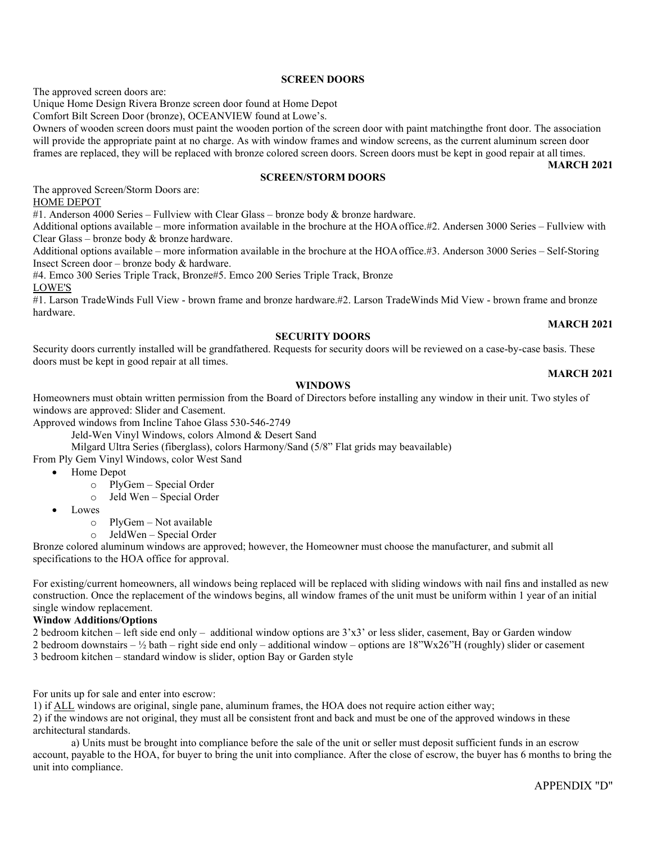APPENDIX "D"

#### **SCREEN DOORS**

The approved screen doors are:

Unique Home Design Rivera Bronze screen door found at Home Depot

Comfort Bilt Screen Door (bronze), OCEANVIEW found at Lowe's.

Owners of wooden screen doors must paint the wooden portion of the screen door with paint matchingthe front door. The association will provide the appropriate paint at no charge. As with window frames and window screens, as the current aluminum screen door frames are replaced, they will be replaced with bronze colored screen doors. Screen doors must be kept in good repair at all times.

**MARCH 2021**

### **SCREEN/STORM DOORS**

The approved Screen/Storm Doors are: HOME DEPOT

#1. Anderson 4000 Series – Fullview with Clear Glass – bronze body & bronze hardware.

Additional options available – more information available in the brochure at the HOAoffice.#2. Andersen 3000 Series – Fullview with Clear Glass – bronze body & bronze hardware.

Additional options available – more information available in the brochure at the HOAoffice.#3. Anderson 3000 Series – Self-Storing Insect Screen door – bronze body & hardware.

#4. Emco 300 Series Triple Track, Bronze#5. Emco 200 Series Triple Track, Bronze

LOWE'S

#1. Larson TradeWinds Full View - brown frame and bronze hardware.#2. Larson TradeWinds Mid View - brown frame and bronze hardware. **MARCH 2021**

#### **SECURITY DOORS**

Security doors currently installed will be grandfathered. Requests for security doors will be reviewed on a case-by-case basis. These doors must be kept in good repair at all times.

#### **WINDOWS**

Homeowners must obtain written permission from the Board of Directors before installing any window in their unit. Two styles of windows are approved: Slider and Casement.

Approved windows from Incline Tahoe Glass 530-546-2749

Jeld-Wen Vinyl Windows, colors Almond & Desert Sand

Milgard Ultra Series (fiberglass), colors Harmony/Sand (5/8" Flat grids may beavailable)

From Ply Gem Vinyl Windows, color West Sand

• Home Depot

o PlyGem – Special Order

o Jeld Wen – Special Order

• Lowes

o PlyGem – Not available

o JeldWen – Special Order

Bronze colored aluminum windows are approved; however, the Homeowner must choose the manufacturer, and submit all specifications to the HOA office for approval.

For existing/current homeowners, all windows being replaced will be replaced with sliding windows with nail fins and installed as new construction. Once the replacement of the windows begins, all window frames of the unit must be uniform within 1 year of an initial single window replacement.

#### **Window Additions/Options**

2 bedroom kitchen – left side end only – additional window options are 3'x3' or less slider, casement, Bay or Garden window

2 bedroom downstairs –  $\frac{1}{2}$  bath – right side end only – additional window – options are 18"Wx26"H (roughly) slider or casement 3 bedroom kitchen – standard window is slider, option Bay or Garden style

For units up for sale and enter into escrow:

1) if ALL windows are original, single pane, aluminum frames, the HOA does not require action either way; 2) if the windows are not original, they must all be consistent front and back and must be one of the approved windows in these

architectural standards.

a) Units must be brought into compliance before the sale of the unit or seller must deposit sufficient funds in an escrow account, payable to the HOA, for buyer to bring the unit into compliance. After the close of escrow, the buyer has 6 months to bring the unit into compliance.

#### **MARCH 2021**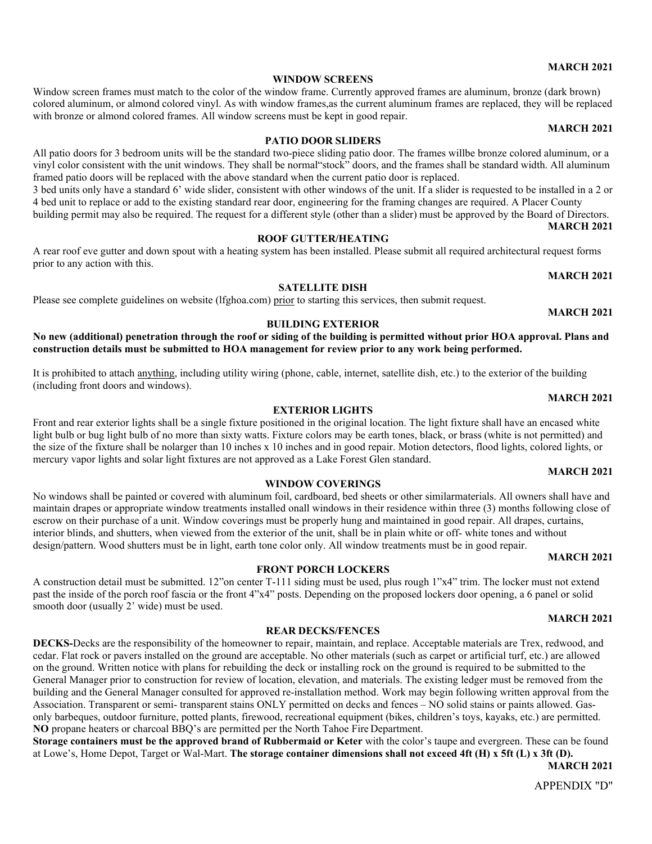#### **WINDOW SCREENS**

Window screen frames must match to the color of the window frame. Currently approved frames are aluminum, bronze (dark brown) colored aluminum, or almond colored vinyl. As with window frames,as the current aluminum frames are replaced, they will be replaced with bronze or almond colored frames. All window screens must be kept in good repair. **MARCH 2021**

#### **PATIO DOOR SLIDERS**

All patio doors for 3 bedroom units will be the standard two-piece sliding patio door. The frames willbe bronze colored aluminum, or a vinyl color consistent with the unit windows. They shall be normal"stock" doors, and the frames shall be standard width. All aluminum framed patio doors will be replaced with the above standard when the current patio door is replaced. 3 bed units only have a standard 6' wide slider, consistent with other windows of the unit. If a slider is requested to be installed in a 2 or 4 bed unit to replace or add to the existing standard rear door, engineering for the framing changes are required. A Placer County building permit may also be required. The request for a different style (other than a slider) must be approved by the Board of Directors.

**MARCH 2021 ROOF GUTTER/HEATING**

A rear roof eve gutter and down spout with a heating system has been installed. Please submit all required architectural request forms prior to any action with this.

#### **SATELLITE DISH**

Please see complete guidelines on website (lfghoa.com) prior to starting this services, then submit request.

#### **BUILDING EXTERIOR**

**No new (additional) penetration through the roof or siding of the building is permitted without prior HOA approval. Plans and construction details must be submitted to HOA management for review prior to any work being performed.**

It is prohibited to attach anything, including utility wiring (phone, cable, internet, satellite dish, etc.) to the exterior of the building (including front doors and windows).

Front and rear exterior lights shall be a single fixture positioned in the original location. The light fixture shall have an encased white light bulb or bug light bulb of no more than sixty watts. Fixture colors may be earth tones, black, or brass (white is not permitted) and the size of the fixture shall be nolarger than 10 inches x 10 inches and in good repair. Motion detectors, flood lights, colored lights, or mercury vapor lights and solar light fixtures are not approved as a Lake Forest Glen standard.

**WINDOW COVERINGS** No windows shall be painted or covered with aluminum foil, cardboard, bed sheets or other similarmaterials. All owners shall have and maintain drapes or appropriate window treatments installed onall windows in their residence within three (3) months following close of escrow on their purchase of a unit. Window coverings must be properly hung and maintained in good repair. All drapes, curtains, interior blinds, and shutters, when viewed from the exterior of the unit, shall be in plain white or off- white tones and without

design/pattern. Wood shutters must be in light, earth tone color only. All window treatments must be in good repair.

smooth door (usually 2' wide) must be used.

**EXTERIOR LIGHTS**

# **MARCH 2021**

# past the inside of the porch roof fascia or the front 4"x4" posts. Depending on the proposed lockers door opening, a 6 panel or solid

#### **REAR DECKS/FENCES**

**FRONT PORCH LOCKERS** A construction detail must be submitted. 12"on center T-111 siding must be used, plus rough 1"x4" trim. The locker must not extend

**DECKS-**Decks are the responsibility of the homeowner to repair, maintain, and replace. Acceptable materials are Trex, redwood, and cedar. Flat rock or pavers installed on the ground are acceptable. No other materials (such as carpet or artificial turf, etc.) are allowed on the ground. Written notice with plans for rebuilding the deck or installing rock on the ground is required to be submitted to the General Manager prior to construction for review of location, elevation, and materials. The existing ledger must be removed from the building and the General Manager consulted for approved re-installation method. Work may begin following written approval from the Association. Transparent or semi- transparent stains ONLY permitted on decks and fences – NO solid stains or paints allowed. Gasonly barbeques, outdoor furniture, potted plants, firewood, recreational equipment (bikes, children's toys, kayaks, etc.) are permitted. **NO** propane heaters or charcoal BBQ's are permitted per the North Tahoe Fire Department.

**Storage containers must be the approved brand of Rubbermaid or Keter** with the color's taupe and evergreen. These can be found at Lowe's, Home Depot, Target or Wal-Mart. **The storage container dimensions shall not exceed 4ft (H) x 5ft (L) x 3ft (D).**

**MARCH 2021**

#### **MARCH 2021**

#### **MARCH 2021**

# **MARCH 2021**

**MARCH 2021**

# **MARCH 2021**

**MARCH 2021**